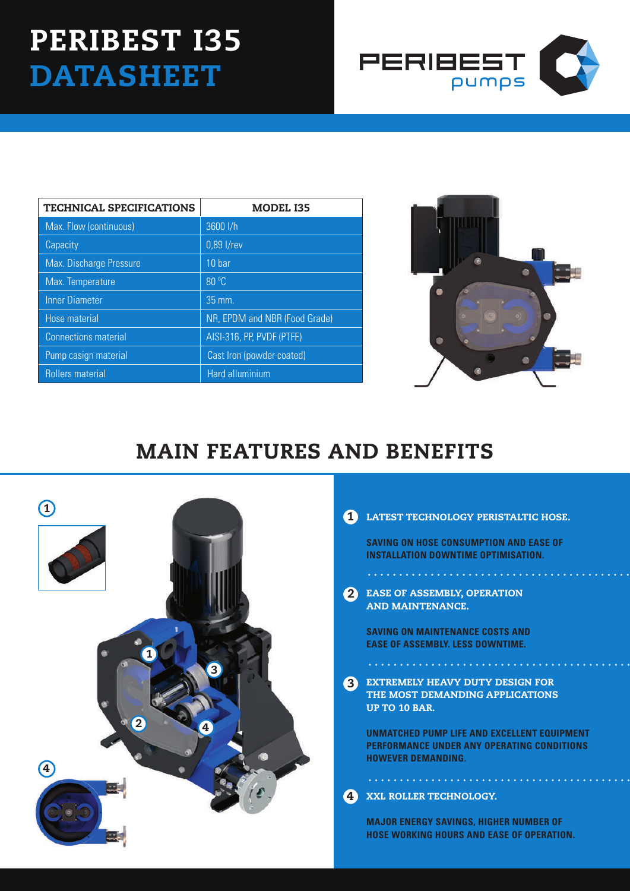# Peribest I35 **DATASHEET**



| <b>TECHNICAL SPECIFICATIONS</b> | <b>MODEL I35</b>              |  |
|---------------------------------|-------------------------------|--|
| Max. Flow (continuous)          | 3600 l/h                      |  |
| Capacity                        | 0,89 l/rev                    |  |
| Max. Discharge Pressure         | 10 bar                        |  |
| Max. Temperature                | 80 °C                         |  |
| <b>Inner Diameter</b>           | 35 mm.                        |  |
| Hose material                   | NR, EPDM and NBR (Food Grade) |  |
| <b>Connections material</b>     | AISI-316, PP, PVDF (PTFE)     |  |
| Pump casign material            | Cast Iron (powder coated)     |  |
| <b>Rollers material</b>         | Hard alluminium               |  |



## MAIN FEATURES AND BENEFITS



#### 1 LATEST TECHNOLOGY PERISTALTIC HOSE.

**SAVING ON HOSE CONSUMPTION AND EASE OF INSTALLATION DOWNTIME OPTIMISATION.**

2 EASE OF ASSEMBLY, OPE AND MAINTENANCE.

. **. . . . . . . . . . . . . . . . . .** . .

**SAVING ON MAINTENANCE COSTS AND EASE OF ASSEMBLY. LESS DOWNTIME.**

EXTREMELY HEAVY DUTY DESIGN FOR THE MOST DEMANDING APPLICATIONS UP TO 10 BAR. 3

. . . . . . . . . . . . . . . . . .

**UNMATCHED PUMP LIFE AND EXCELLENT EQUIPMENT PERFORMANCE UNDER ANY OPERATING CONDITIONS HOWEVER DEMANDING.**

#### XXL ROLLER TECHNOLOGY. 4

**MAJOR ENERGY SAVINGS, HIGHER NUMBER OF HOSE WORKING HOURS AND EASE OF OPERATION.**